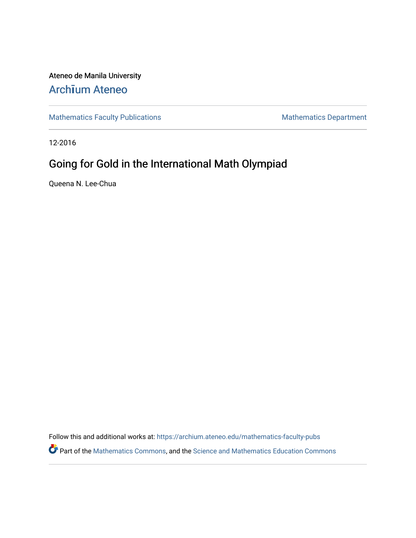Ateneo de Manila University Arch**ī**[um Ateneo](https://archium.ateneo.edu/) 

[Mathematics Faculty Publications](https://archium.ateneo.edu/mathematics-faculty-pubs) Mathematics Department

12-2016

# Going for Gold in the International Math Olympiad

Queena N. Lee-Chua

Follow this and additional works at: [https://archium.ateneo.edu/mathematics-faculty-pubs](https://archium.ateneo.edu/mathematics-faculty-pubs?utm_source=archium.ateneo.edu%2Fmathematics-faculty-pubs%2F187&utm_medium=PDF&utm_campaign=PDFCoverPages) 

Part of the [Mathematics Commons](http://network.bepress.com/hgg/discipline/174?utm_source=archium.ateneo.edu%2Fmathematics-faculty-pubs%2F187&utm_medium=PDF&utm_campaign=PDFCoverPages), and the [Science and Mathematics Education Commons](http://network.bepress.com/hgg/discipline/800?utm_source=archium.ateneo.edu%2Fmathematics-faculty-pubs%2F187&utm_medium=PDF&utm_campaign=PDFCoverPages)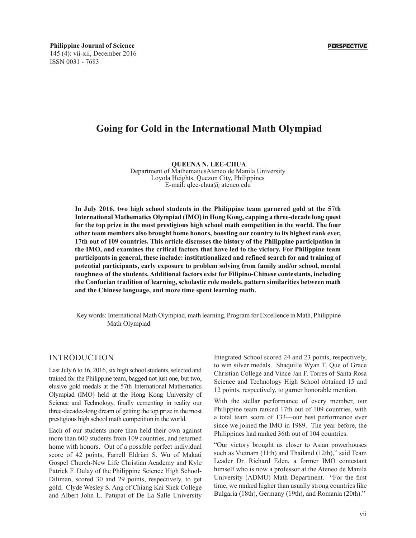# **Going for Gold in the International Math Olympiad**

**QUEENA N. LEE-CHUA** Department of MathematicsAteneo de Manila University Loyola Heights, Quezon City, Philippines E-mail: qlee-chua@ ateneo.edu

**In July 2016, two high school students in the Philippine team garnered gold at the 57th International Mathematics Olympiad (IMO) in Hong Kong, capping a three-decade long quest for the top prize in the most prestigious high school math competition in the world. The four other team members also brought home honors, boosting our country to its highest rank ever, 17th out of 109 countries. This article discusses the history of the Philippine participation in the IMO, and examines the critical factors that have led to the victory. For Philippine team participants in general, these include: institutionalized and refined search for and training of potential participants, early exposure to problem solving from family and/or school, mental toughness of the students. Additional factors exist for Filipino-Chinese contestants, including the Confucian tradition of learning, scholastic role models, pattern similarities between math and the Chinese language, and more time spent learning math.**

Key words: International Math Olympiad, math learning, Program for Excellence in Math, Philippine Math Olympiad

#### INTRODUCTION

Last July 6 to 16, 2016, six high school students, selected and trained for the Philippine team, bagged not just one, but two, elusive gold medals at the 57th International Mathematics Olympiad (IMO) held at the Hong Kong University of Science and Technology, finally cementing in reality our three-decades-long dream of getting the top prize in the most prestigious high school math competition in the world.

Each of our students more than held their own against more than 600 students from 109 countries, and returned home with honors. Out of a possible perfect individual score of 42 points, Farrell Eldrian S. Wu of Makati Gospel Church-New Life Christian Academy and Kyle Patrick F. Dulay of the Philippine Science High School-Diliman, scored 30 and 29 points, respectively, to get gold. Clyde Wesley S. Ang of Chiang Kai Shek College and Albert John L. Patupat of De La Salle University Integrated School scored 24 and 23 points, respectively, to win silver medals. Shaquille Wyan T. Que of Grace Christian College and Vince Jan F. Torres of Santa Rosa Science and Technology High School obtained 15 and 12 points, respectively, to garner honorable mention.

With the stellar performance of every member, our Philippine team ranked 17th out of 109 countries, with a total team score of 133—our best performance ever since we joined the IMO in 1989. The year before, the Philippines had ranked 36th out of 104 countries.

"Our victory brought us closer to Asian powerhouses such as Vietnam (11th) and Thailand (12th)," said Team Leader Dr. Richard Eden, a former IMO contestant himself who is now a professor at the Ateneo de Manila University (ADMU) Math Department. "For the first time, we ranked higher than usually strong countries like Bulgaria (18th), Germany (19th), and Romania (20th)."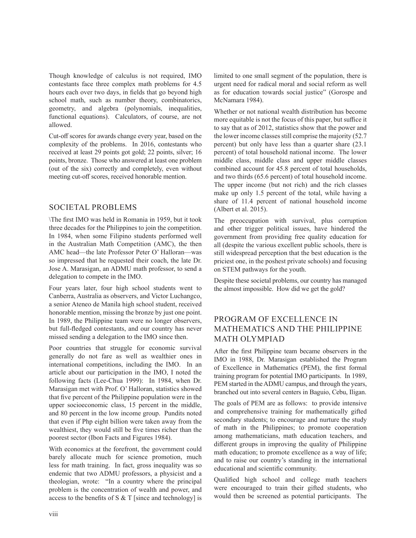Though knowledge of calculus is not required, IMO contestants face three complex math problems for 4.5 hours each over two days, in fields that go beyond high school math, such as number theory, combinatorics, geometry, and algebra (polynomials, inequalities, functional equations). Calculators, of course, are not allowed.

Cut-off scores for awards change every year, based on the complexity of the problems. In 2016, contestants who received at least 29 points got gold; 22 points, silver; 16 points, bronze. Those who answered at least one problem (out of the six) correctly and completely, even without meeting cut-off scores, received honorable mention.

### SOCIETAL PROBLEMS

\The first IMO was held in Romania in 1959, but it took three decades for the Philippines to join the competition. In 1984, when some Filipino students performed well in the Australian Math Competition (AMC), the then AMC head—the late Professor Peter O' Halloran—was so impressed that he requested their coach, the late Dr. Jose A. Marasigan, an ADMU math professor, to send a delegation to compete in the IMO.

Four years later, four high school students went to Canberra, Australia as observers, and Victor Luchangco, a senior Ateneo de Manila high school student, received honorable mention, missing the bronze by just one point. In 1989, the Philippine team were no longer observers, but full-fledged contestants, and our country has never missed sending a delegation to the IMO since then.

Poor countries that struggle for economic survival generally do not fare as well as wealthier ones in international competitions, including the IMO. In an article about our participation in the IMO, I noted the following facts (Lee-Chua 1999): In 1984, when Dr. Marasigan met with Prof. O' Halloran, statistics showed that five percent of the Philippine population were in the upper socioeconomic class, 15 percent in the middle, and 80 percent in the low income group. Pundits noted that even if Php eight billion were taken away from the wealthiest, they would still be five times richer than the poorest sector (Ibon Facts and Figures 1984).

With economics at the forefront, the government could barely allocate much for science promotion, much less for math training. In fact, gross inequality was so endemic that two ADMU professors, a physicist and a theologian, wrote: "In a country where the principal problem is the concentration of wealth and power, and access to the benefits of S  $&$  T [since and technology] is limited to one small segment of the population, there is urgent need for radical moral and social reform as well as for education towards social justice" (Gorospe and McNamara 1984).

Whether or not national wealth distribution has become more equitable is not the focus of this paper, but suffice it to say that as of 2012, statistics show that the power and the lower income classes still comprise the majority (52.7 percent) but only have less than a quarter share (23.1 percent) of total household national income. The lower middle class, middle class and upper middle classes combined account for 45.8 percent of total households, and two thirds (65.6 percent) of total household income. The upper income (but not rich) and the rich classes make up only 1.5 percent of the total, while having a share of 11.4 percent of national household income (Albert et al. 2015).

The preoccupation with survival, plus corruption and other trigger political issues, have hindered the government from providing free quality education for all (despite the various excellent public schools, there is still widespread perception that the best education is the priciest one, in the poshest private schools) and focusing on STEM pathways for the youth.

Despite these societal problems, our country has managed the almost impossible. How did we get the gold?

## PROGRAM OF EXCELLENCE IN MATHEMATICS AND THE PHILIPPINE MATH OLYMPIAD

After the first Philippine team became observers in the IMO in 1988, Dr. Marasigan established the Program of Excellence in Mathematics (PEM), the first formal training program for potential IMO participants. In 1989, PEM started in the ADMU campus, and through the years, branched out into several centers in Baguio, Cebu, Iligan.

The goals of PEM are as follows: to provide intensive and comprehensive training for mathematically gifted secondary students; to encourage and nurture the study of math in the Philippines; to promote cooperation among mathematicians, math education teachers, and different groups in improving the quality of Philippine math education; to promote excellence as a way of life; and to raise our country's standing in the international educational and scientific community.

Qualified high school and college math teachers were encouraged to train their gifted students, who would then be screened as potential participants. The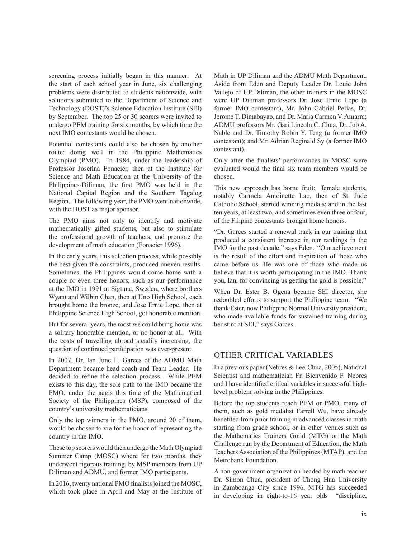screening process initially began in this manner: At the start of each school year in June, six challenging problems were distributed to students nationwide, with solutions submitted to the Department of Science and Technology (DOST)'s Science Education Institute (SEI) by September. The top 25 or 30 scorers were invited to undergo PEM training for six months, by which time the next IMO contestants would be chosen.

Potential contestants could also be chosen by another route: doing well in the Philippine Mathematics Olympiad (PMO). In 1984, under the leadership of Professor Josefina Fonacier, then at the Institute for Science and Math Education at the University of the Philippines-Diliman, the first PMO was held in the National Capital Region and the Southern Tagalog Region. The following year, the PMO went nationwide, with the DOST as major sponsor.

The PMO aims not only to identify and motivate mathematically gifted students, but also to stimulate the professional growth of teachers, and promote the development of math education (Fonacier 1996).

In the early years, this selection process, while possibly the best given the constraints, produced uneven results. Sometimes, the Philippines would come home with a couple or even three honors, such as our performance at the IMO in 1991 at Sigtuna, Sweden, where brothers Wyant and Wilbin Chan, then at Uno High School, each brought home the bronze, and Jose Ernie Lope, then at Philippine Science High School, got honorable mention.

But for several years, the most we could bring home was a solitary honorable mention, or no honor at all. With the costs of travelling abroad steadily increasing, the question of continued participation was ever-present.

In 2007, Dr. Ian June L. Garces of the ADMU Math Department became head coach and Team Leader. He decided to refine the selection process. While PEM exists to this day, the sole path to the IMO became the PMO, under the aegis this time of the Mathematical Society of the Philippines (MSP), composed of the country's university mathematicians.

Only the top winners in the PMO, around 20 of them, would be chosen to vie for the honor of representing the country in the IMO.

These top scorers would then undergo the Math Olympiad Summer Camp (MOSC) where for two months, they underwent rigorous training, by MSP members from UP Diliman and ADMU, and former IMO participants.

In 2016, twenty national PMO finalists joined the MOSC, which took place in April and May at the Institute of Math in UP Diliman and the ADMU Math Department. Aside from Eden and Deputy Leader Dr. Louie John Vallejo of UP Diliman, the other trainers in the MOSC were UP Diliman professors Dr. Jose Ernie Lope (a former IMO contestant), Mr. John Gabriel Pelias, Dr. Jerome T. Dimabayao, and Dr. Maria Carmen V. Amarra; ADMU professors Mr. Gari Lincoln C. Chua, Dr. Job A. Nable and Dr. Timothy Robin Y. Teng (a former IMO contestant); and Mr. Adrian Reginald Sy (a former IMO contestant).

Only after the finalists' performances in MOSC were evaluated would the final six team members would be chosen.

This new approach has borne fruit: female students, notably Carmela Antoinette Lao, then of St. Jude Catholic School, started winning medals; and in the last ten years, at least two, and sometimes even three or four, of the Filipino contestants brought home honors.

"Dr. Garces started a renewal track in our training that produced a consistent increase in our rankings in the IMO for the past decade," says Eden. "Our achievement is the result of the effort and inspiration of those who came before us. He was one of those who made us believe that it is worth participating in the IMO. Thank you, Ian, for convincing us getting the gold is possible."

When Dr. Ester B. Ogena became SEI director, she redoubled efforts to support the Philippine team. "We thank Ester, now Philippine Normal University president, who made available funds for sustained training during her stint at SEI," says Garces.

#### OTHER CRITICAL VARIABLES

In a previous paper (Nebres & Lee-Chua, 2005), National Scientist and mathematician Fr. Bienvenido F. Nebres and I have identified critical variables in successful highlevel problem solving in the Philippines.

Before the top students reach PEM or PMO, many of them, such as gold medalist Farrell Wu, have already benefited from prior training in advanced classes in math starting from grade school, or in other venues such as the Mathematics Trainers Guild (MTG) or the Math Challenge run by the Department of Education, the Math Teachers Association of the Philippines (MTAP), and the Metrobank Foundation.

A non-government organization headed by math teacher Dr. Simon Chua, president of Chong Hua University in Zamboanga City since 1996, MTG has succeeded in developing in eight-to-16 year olds "discipline,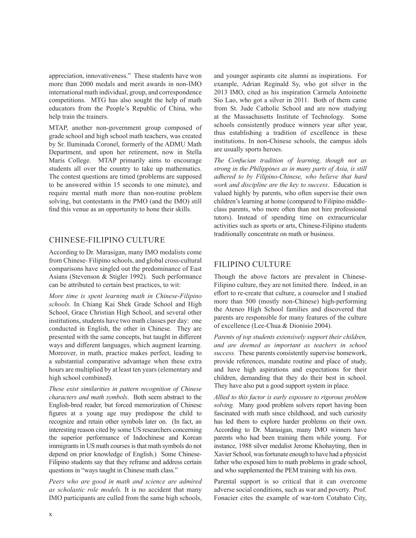appreciation, innovativeness." These students have won more than 2000 medals and merit awards in non-IMO international math individual, group, and correspondence competitions. MTG has also sought the help of math educators from the People's Republic of China, who help train the trainers.

MTAP, another non-government group composed of grade school and high school math teachers, was created by Sr. Iluminada Coronel, formerly of the ADMU Math Department, and upon her retirement, now in Stella Maris College. MTAP primarily aims to encourage students all over the country to take up mathematics. The contest questions are timed (problems are supposed to be answered within 15 seconds to one minute), and require mental math more than non-routine problem solving, but contestants in the PMO (and the IMO) still find this venue as an opportunity to hone their skills.

#### CHINESE-FILIPINO CULTURE

According to Dr. Marasigan, many IMO medalists come from Chinese- Filipino schools, and global cross-cultural comparisons have singled out the predominance of East Asians (Stevenson & Stigler 1992). Such performance can be attributed to certain best practices, to wit:

*More time is spent learning math in Chinese-Filipino schools.* In Chiang Kai Shek Grade School and High School, Grace Christian High School, and several other institutions, students have two math classes per day: one conducted in English, the other in Chinese. They are presented with the same concepts, but taught in different ways and different languages, which augment learning. Moreover, in math, practice makes perfect, leading to a substantial comparative advantage when these extra hours are multiplied by at least ten years (elementary and high school combined).

*These exist similarities in pattern recognition of Chinese characters and math symbols*. Both seem abstract to the English-bred reader, but forced memorization of Chinese figures at a young age may predispose the child to recognize and retain other symbols later on. (In fact, an interesting reason cited by some US researchers concerning the superior performance of Indochinese and Korean immigrants in US math courses is that math symbols do not depend on prior knowledge of English.) Some Chinese-Filipino students say that they reframe and address certain questions in "ways taught in Chinese math class."

*Peers who are good in math and science are admired as scholastic role models.* It is no accident that many IMO participants are culled from the same high schools,

and younger aspirants cite alumni as inspirations. For example, Adrian Reginald Sy, who got silver in the 2013 IMO, cited as his inspiration Carmela Antoinette Sio Lao, who got a silver in 2011. Both of them came from St. Jude Catholic School and are now studying at the Massachusetts Institute of Technology. Some schools consistently produce winners year after year, thus establishing a tradition of excellence in these institutions. In non-Chinese schools, the campus idols are usually sports heroes.

*The Confucian tradition of learning, though not as strong in the Philippines as in many parts of Asia, is still adhered to by Filipino-Chinese, who believe that hard work and discipline are the key to success*. Education is valued highly by parents, who often supervise their own children's learning at home (compared to Filipino middleclass parents, who more often than not hire professional tutors). Instead of spending time on extracurricular activities such as sports or arts, Chinese-Filipino students traditionally concentrate on math or business.

#### FILIPINO CULTURE

Though the above factors are prevalent in Chinese-Filipino culture, they are not limited there. Indeed, in an effort to re-create that culture, a counselor and I studied more than 500 (mostly non-Chinese) high-performing the Ateneo High School families and discovered that parents are responsible for many features of the culture of excellence (Lee-Chua & Dionisio 2004).

*Parents of top students extensively support their children, and are deemed as important as teachers in school success.* These parents consistently supervise homework, provide references, mandate routine and place of study, and have high aspirations and expectations for their children, demanding that they do their best in school. They have also put a good support system in place.

*Allied to this factor is early exposure to rigorous problem solving.* Many good problem solvers report having been fascinated with math since childhood, and such curiosity has led them to explore harder problems on their own. According to Dr. Marasigan, many IMO winners have parents who had been training them while young. For instance, 1988 silver medalist Jerome Khohayting, then in Xavier School, was fortunate enough to have had a physicist father who exposed him to math problems in grade school, and who supplemented the PEM training with his own.

Parental support is so critical that it can overcome adverse social conditions, such as war and poverty. Prof. Fonacier cites the example of war-torn Cotabato City,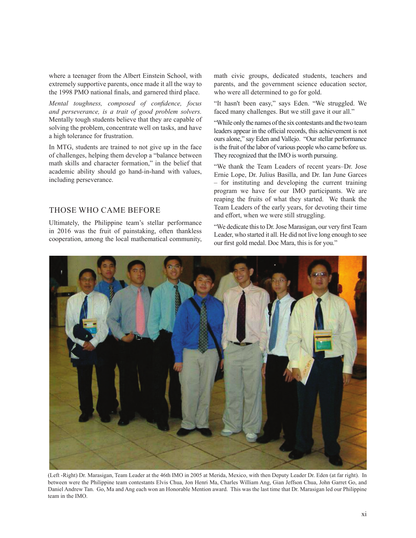where a teenager from the Albert Einstein School, with extremely supportive parents, once made it all the way to the 1998 PMO national finals, and garnered third place.

*Mental toughness, composed of confidence, focus and perseverance, is a trait of good problem solvers.* Mentally tough students believe that they are capable of solving the problem, concentrate well on tasks, and have a high tolerance for frustration.

In MTG, students are trained to not give up in the face of challenges, helping them develop a "balance between math skills and character formation," in the belief that academic ability should go hand-in-hand with values, including perseverance.

#### THOSE WHO CAME BEFORE

Ultimately, the Philippine team's stellar performance in 2016 was the fruit of painstaking, often thankless cooperation, among the local mathematical community, math civic groups, dedicated students, teachers and parents, and the government science education sector, who were all determined to go for gold.

"It hasn't been easy," says Eden. "We struggled. We faced many challenges. But we still gave it our all."

"While only the names of the six contestants and the two team leaders appear in the official records, this achievement is not ours alone," say Eden and Vallejo. "Our stellar performance is the fruit of the labor of various people who came before us. They recognized that the IMO is worth pursuing.

"We thank the Team Leaders of recent years–Dr. Jose Ernie Lope, Dr. Julius Basilla, and Dr. Ian June Garces – for instituting and developing the current training program we have for our IMO participants. We are reaping the fruits of what they started. We thank the Team Leaders of the early years, for devoting their time and effort, when we were still struggling.

"We dedicate this to Dr. Jose Marasigan, our very first Team Leader, who started it all. He did not live long enough to see our first gold medal. Doc Mara, this is for you."



(Left -Right) Dr. Marasigan, Team Leader at the 46th IMO in 2005 at Merida, Mexico, with then Deputy Leader Dr. Eden (at far right). In between were the Philippine team contestants Elvis Chua, Jon Henri Ma, Charles William Ang, Gian Jeffson Chua, John Garret Go, and Daniel Andrew Tan. Go, Ma and Ang each won an Honorable Mention award. This was the last time that Dr. Marasigan led our Philippine team in the IMO.